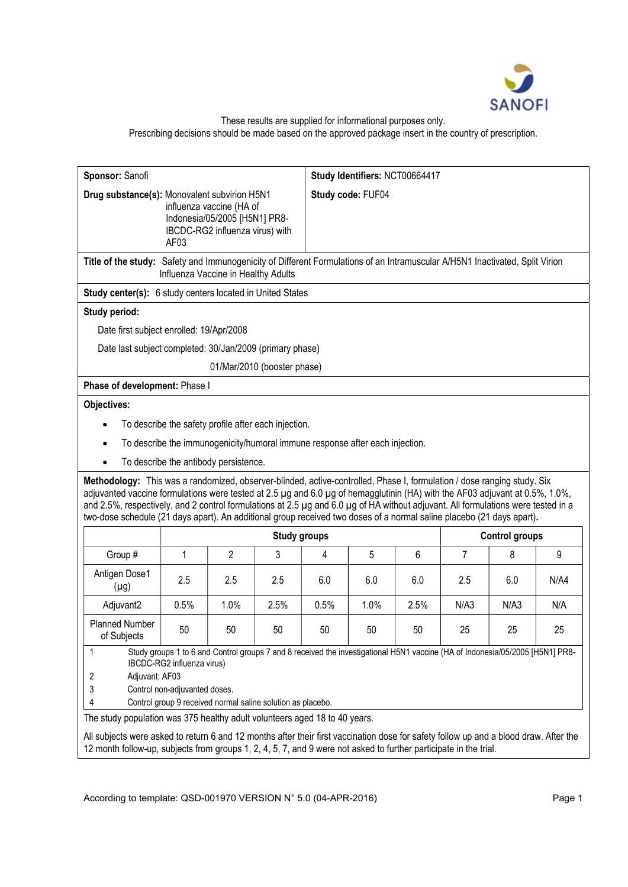

### These results are supplied for informational purposes only.

Prescribing decisions should be made based on the approved package insert in the country of prescription.

| Sponsor: Sanofi                                                                                                                                                                                                                                                                                                                                                                                                                                                                                                       |                                                                                              |                |                             | Study Identifiers: NCT00664417 |                                                                              |      |                                                                                                                               |                       |      |  |
|-----------------------------------------------------------------------------------------------------------------------------------------------------------------------------------------------------------------------------------------------------------------------------------------------------------------------------------------------------------------------------------------------------------------------------------------------------------------------------------------------------------------------|----------------------------------------------------------------------------------------------|----------------|-----------------------------|--------------------------------|------------------------------------------------------------------------------|------|-------------------------------------------------------------------------------------------------------------------------------|-----------------------|------|--|
| Drug substance(s): Monovalent subvirion H5N1<br>influenza vaccine (HA of<br>Indonesia/05/2005 [H5N1] PR8-<br>IBCDC-RG2 influenza virus) with<br>AF03                                                                                                                                                                                                                                                                                                                                                                  |                                                                                              |                |                             |                                | Study code: FUF04                                                            |      |                                                                                                                               |                       |      |  |
| Title of the study: Safety and Immunogenicity of Different Formulations of an Intramuscular A/H5N1 Inactivated, Split Virion                                                                                                                                                                                                                                                                                                                                                                                          | Influenza Vaccine in Healthy Adults                                                          |                |                             |                                |                                                                              |      |                                                                                                                               |                       |      |  |
| <b>Study center(s):</b> 6 study centers located in United States                                                                                                                                                                                                                                                                                                                                                                                                                                                      |                                                                                              |                |                             |                                |                                                                              |      |                                                                                                                               |                       |      |  |
| Study period:                                                                                                                                                                                                                                                                                                                                                                                                                                                                                                         |                                                                                              |                |                             |                                |                                                                              |      |                                                                                                                               |                       |      |  |
| Date first subject enrolled: 19/Apr/2008                                                                                                                                                                                                                                                                                                                                                                                                                                                                              |                                                                                              |                |                             |                                |                                                                              |      |                                                                                                                               |                       |      |  |
| Date last subject completed: 30/Jan/2009 (primary phase)                                                                                                                                                                                                                                                                                                                                                                                                                                                              |                                                                                              |                |                             |                                |                                                                              |      |                                                                                                                               |                       |      |  |
|                                                                                                                                                                                                                                                                                                                                                                                                                                                                                                                       |                                                                                              |                | 01/Mar/2010 (booster phase) |                                |                                                                              |      |                                                                                                                               |                       |      |  |
| Phase of development: Phase I                                                                                                                                                                                                                                                                                                                                                                                                                                                                                         |                                                                                              |                |                             |                                |                                                                              |      |                                                                                                                               |                       |      |  |
| Objectives:                                                                                                                                                                                                                                                                                                                                                                                                                                                                                                           |                                                                                              |                |                             |                                |                                                                              |      |                                                                                                                               |                       |      |  |
|                                                                                                                                                                                                                                                                                                                                                                                                                                                                                                                       | To describe the safety profile after each injection.                                         |                |                             |                                |                                                                              |      |                                                                                                                               |                       |      |  |
|                                                                                                                                                                                                                                                                                                                                                                                                                                                                                                                       |                                                                                              |                |                             |                                |                                                                              |      |                                                                                                                               |                       |      |  |
|                                                                                                                                                                                                                                                                                                                                                                                                                                                                                                                       |                                                                                              |                |                             |                                |                                                                              |      |                                                                                                                               |                       |      |  |
|                                                                                                                                                                                                                                                                                                                                                                                                                                                                                                                       |                                                                                              |                |                             |                                | To describe the immunogenicity/humoral immune response after each injection. |      |                                                                                                                               |                       |      |  |
| $\bullet$                                                                                                                                                                                                                                                                                                                                                                                                                                                                                                             | To describe the antibody persistence.                                                        |                |                             |                                |                                                                              |      |                                                                                                                               |                       |      |  |
| Methodology: This was a randomized, observer-blinded, active-controlled, Phase I, formulation / dose ranging study. Six<br>adjuvanted vaccine formulations were tested at 2.5 µg and 6.0 µg of hemagglutinin (HA) with the AF03 adjuvant at 0.5%, 1.0%,<br>and 2.5%, respectively, and 2 control formulations at 2.5 µg and 6.0 µg of HA without adjuvant. All formulations were tested in a<br>two-dose schedule (21 days apart). An additional group received two doses of a normal saline placebo (21 days apart). |                                                                                              |                |                             |                                |                                                                              |      |                                                                                                                               |                       |      |  |
|                                                                                                                                                                                                                                                                                                                                                                                                                                                                                                                       |                                                                                              |                | <b>Study groups</b>         |                                |                                                                              |      |                                                                                                                               | <b>Control groups</b> |      |  |
| Group #                                                                                                                                                                                                                                                                                                                                                                                                                                                                                                               | $\mathbf{1}$                                                                                 | $\overline{2}$ | 3                           | 4                              | 5                                                                            | 6    | $\overline{7}$                                                                                                                | 8                     | 9    |  |
| Antigen Dose1<br>$(\mu g)$                                                                                                                                                                                                                                                                                                                                                                                                                                                                                            | 2.5                                                                                          | 2.5            | 2.5                         | 6.0                            | 6.0                                                                          | 6.0  | 2.5                                                                                                                           | 6.0                   | N/A4 |  |
| Adjuvant2                                                                                                                                                                                                                                                                                                                                                                                                                                                                                                             | 0.5%                                                                                         | 1.0%           | 2.5%                        | 0.5%                           | 1.0%                                                                         | 2.5% | N/A3                                                                                                                          | N/A3                  | N/A  |  |
| <b>Planned Number</b><br>of Subjects                                                                                                                                                                                                                                                                                                                                                                                                                                                                                  | 50                                                                                           | 50             | 50                          | 50                             | 50                                                                           | 50   | 25                                                                                                                            | 25                    | 25   |  |
| 1                                                                                                                                                                                                                                                                                                                                                                                                                                                                                                                     | IBCDC-RG2 influenza virus)                                                                   |                |                             |                                |                                                                              |      | Study groups 1 to 6 and Control groups 7 and 8 received the investigational H5N1 vaccine (HA of Indonesia/05/2005 [H5N1] PR8- |                       |      |  |
| Adjuvant: AF03<br>2                                                                                                                                                                                                                                                                                                                                                                                                                                                                                                   |                                                                                              |                |                             |                                |                                                                              |      |                                                                                                                               |                       |      |  |
| 3<br>4                                                                                                                                                                                                                                                                                                                                                                                                                                                                                                                | Control non-adjuvanted doses.<br>Control group 9 received normal saline solution as placebo. |                |                             |                                |                                                                              |      |                                                                                                                               |                       |      |  |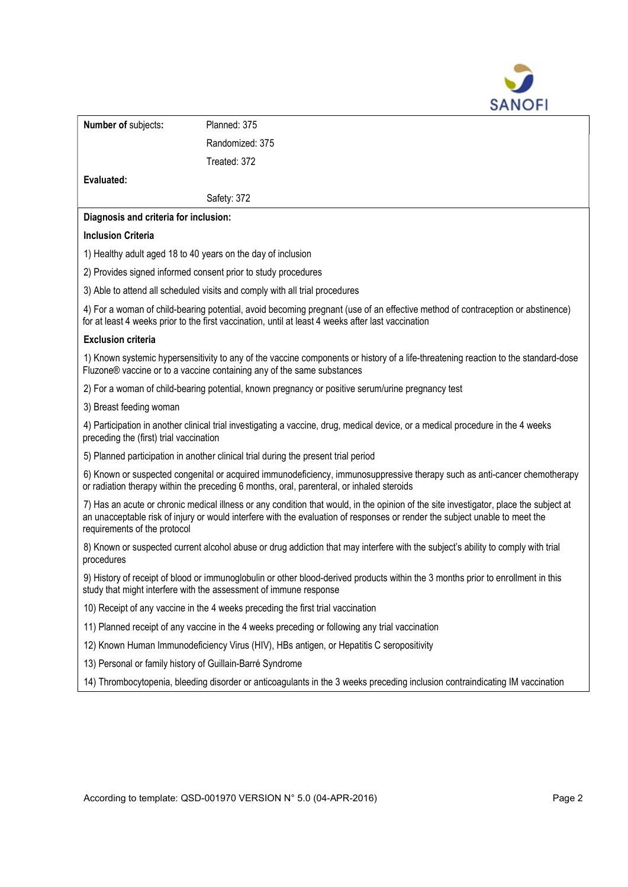

| Number of subjects:                                                                                                                                                                                          | Planned: 375                                                                                                                                                                                                                                                         |  |  |  |  |  |
|--------------------------------------------------------------------------------------------------------------------------------------------------------------------------------------------------------------|----------------------------------------------------------------------------------------------------------------------------------------------------------------------------------------------------------------------------------------------------------------------|--|--|--|--|--|
|                                                                                                                                                                                                              | Randomized: 375                                                                                                                                                                                                                                                      |  |  |  |  |  |
|                                                                                                                                                                                                              | Treated: 372                                                                                                                                                                                                                                                         |  |  |  |  |  |
| Evaluated:                                                                                                                                                                                                   |                                                                                                                                                                                                                                                                      |  |  |  |  |  |
|                                                                                                                                                                                                              | Safety: 372                                                                                                                                                                                                                                                          |  |  |  |  |  |
| Diagnosis and criteria for inclusion:                                                                                                                                                                        |                                                                                                                                                                                                                                                                      |  |  |  |  |  |
| <b>Inclusion Criteria</b>                                                                                                                                                                                    |                                                                                                                                                                                                                                                                      |  |  |  |  |  |
| 1) Healthy adult aged 18 to 40 years on the day of inclusion                                                                                                                                                 |                                                                                                                                                                                                                                                                      |  |  |  |  |  |
| 2) Provides signed informed consent prior to study procedures                                                                                                                                                |                                                                                                                                                                                                                                                                      |  |  |  |  |  |
|                                                                                                                                                                                                              | 3) Able to attend all scheduled visits and comply with all trial procedures                                                                                                                                                                                          |  |  |  |  |  |
|                                                                                                                                                                                                              | 4) For a woman of child-bearing potential, avoid becoming pregnant (use of an effective method of contraception or abstinence)<br>for at least 4 weeks prior to the first vaccination, until at least 4 weeks after last vaccination                                 |  |  |  |  |  |
| <b>Exclusion criteria</b>                                                                                                                                                                                    |                                                                                                                                                                                                                                                                      |  |  |  |  |  |
| 1) Known systemic hypersensitivity to any of the vaccine components or history of a life-threatening reaction to the standard-dose<br>Fluzone® vaccine or to a vaccine containing any of the same substances |                                                                                                                                                                                                                                                                      |  |  |  |  |  |
|                                                                                                                                                                                                              | 2) For a woman of child-bearing potential, known pregnancy or positive serum/urine pregnancy test                                                                                                                                                                    |  |  |  |  |  |
| 3) Breast feeding woman                                                                                                                                                                                      |                                                                                                                                                                                                                                                                      |  |  |  |  |  |
| preceding the (first) trial vaccination                                                                                                                                                                      | 4) Participation in another clinical trial investigating a vaccine, drug, medical device, or a medical procedure in the 4 weeks                                                                                                                                      |  |  |  |  |  |
|                                                                                                                                                                                                              | 5) Planned participation in another clinical trial during the present trial period                                                                                                                                                                                   |  |  |  |  |  |
|                                                                                                                                                                                                              | 6) Known or suspected congenital or acquired immunodeficiency, immunosuppressive therapy such as anti-cancer chemotherapy<br>or radiation therapy within the preceding 6 months, oral, parenteral, or inhaled steroids                                               |  |  |  |  |  |
| requirements of the protocol                                                                                                                                                                                 | 7) Has an acute or chronic medical illness or any condition that would, in the opinion of the site investigator, place the subject at<br>an unacceptable risk of injury or would interfere with the evaluation of responses or render the subject unable to meet the |  |  |  |  |  |
| procedures                                                                                                                                                                                                   | 8) Known or suspected current alcohol abuse or drug addiction that may interfere with the subject's ability to comply with trial                                                                                                                                     |  |  |  |  |  |
| 9) History of receipt of blood or immunoglobulin or other blood-derived products within the 3 months prior to enrollment in this<br>study that might interfere with the assessment of immune response        |                                                                                                                                                                                                                                                                      |  |  |  |  |  |
|                                                                                                                                                                                                              | 10) Receipt of any vaccine in the 4 weeks preceding the first trial vaccination                                                                                                                                                                                      |  |  |  |  |  |
| 11) Planned receipt of any vaccine in the 4 weeks preceding or following any trial vaccination                                                                                                               |                                                                                                                                                                                                                                                                      |  |  |  |  |  |
|                                                                                                                                                                                                              | 12) Known Human Immunodeficiency Virus (HIV), HBs antigen, or Hepatitis C seropositivity                                                                                                                                                                             |  |  |  |  |  |
| 13) Personal or family history of Guillain-Barré Syndrome                                                                                                                                                    |                                                                                                                                                                                                                                                                      |  |  |  |  |  |
|                                                                                                                                                                                                              | 14) Thrombocytopenia, bleeding disorder or anticoagulants in the 3 weeks preceding inclusion contraindicating IM vaccination                                                                                                                                         |  |  |  |  |  |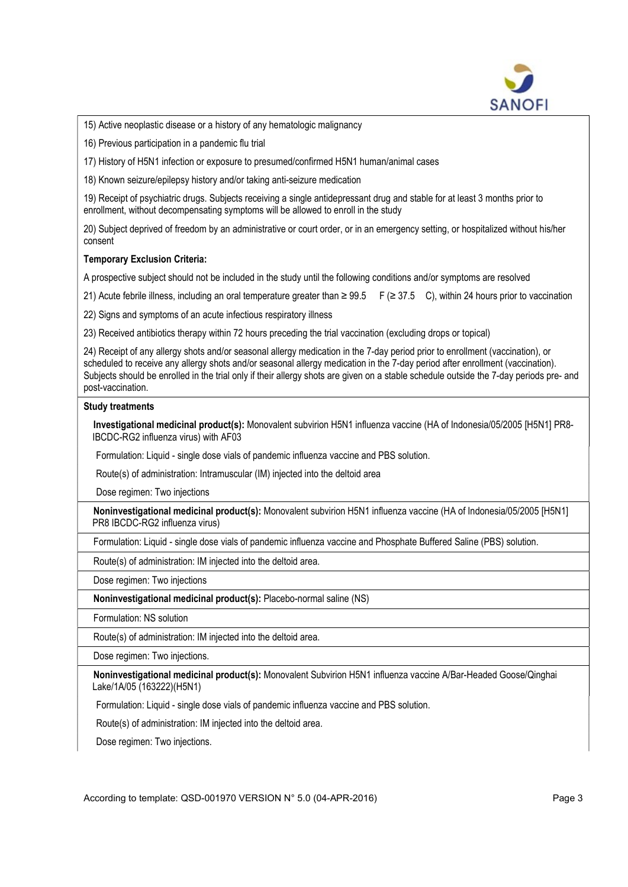

15) Active neoplastic disease or a history of any hematologic malignancy

16) Previous participation in a pandemic flu trial

17) History of H5N1 infection or exposure to presumed/confirmed H5N1 human/animal cases

18) Known seizure/epilepsy history and/or taking anti-seizure medication

19) Receipt of psychiatric drugs. Subjects receiving a single antidepressant drug and stable for at least 3 months prior to enrollment, without decompensating symptoms will be allowed to enroll in the study

20) Subject deprived of freedom by an administrative or court order, or in an emergency setting, or hospitalized without his/her consent

### Temporary Exclusion Criteria:

A prospective subject should not be included in the study until the following conditions and/or symptoms are resolved

21) Acute febrile illness, including an oral temperature greater than ≥ 99.5  $F$  (≥ 37.5 C), within 24 hours prior to vaccination

22) Signs and symptoms of an acute infectious respiratory illness

23) Received antibiotics therapy within 72 hours preceding the trial vaccination (excluding drops or topical)

24) Receipt of any allergy shots and/or seasonal allergy medication in the 7-day period prior to enrollment (vaccination), or scheduled to receive any allergy shots and/or seasonal allergy medication in the 7-day period after enrollment (vaccination). Subjects should be enrolled in the trial only if their allergy shots are given on a stable schedule outside the 7-day periods pre- and post-vaccination.

### Study treatments

Investigational medicinal product(s): Monovalent subvirion H5N1 influenza vaccine (HA of Indonesia/05/2005 [H5N1] PR8- IBCDC-RG2 influenza virus) with AF03

Formulation: Liquid - single dose vials of pandemic influenza vaccine and PBS solution.

Route(s) of administration: Intramuscular (IM) injected into the deltoid area

Dose regimen: Two injections

Noninvestigational medicinal product(s): Monovalent subvirion H5N1 influenza vaccine (HA of Indonesia/05/2005 [H5N1] PR8 IBCDC-RG2 influenza virus)

Formulation: Liquid - single dose vials of pandemic influenza vaccine and Phosphate Buffered Saline (PBS) solution.

Route(s) of administration: IM injected into the deltoid area.

Dose regimen: Two injections

Noninvestigational medicinal product(s): Placebo-normal saline (NS)

Formulation: NS solution

Route(s) of administration: IM injected into the deltoid area.

Dose regimen: Two injections.

Noninvestigational medicinal product(s): Monovalent Subvirion H5N1 influenza vaccine A/Bar-Headed Goose/Qinghai Lake/1A/05 (163222)(H5N1)

Formulation: Liquid - single dose vials of pandemic influenza vaccine and PBS solution.

Route(s) of administration: IM injected into the deltoid area.

Dose regimen: Two injections.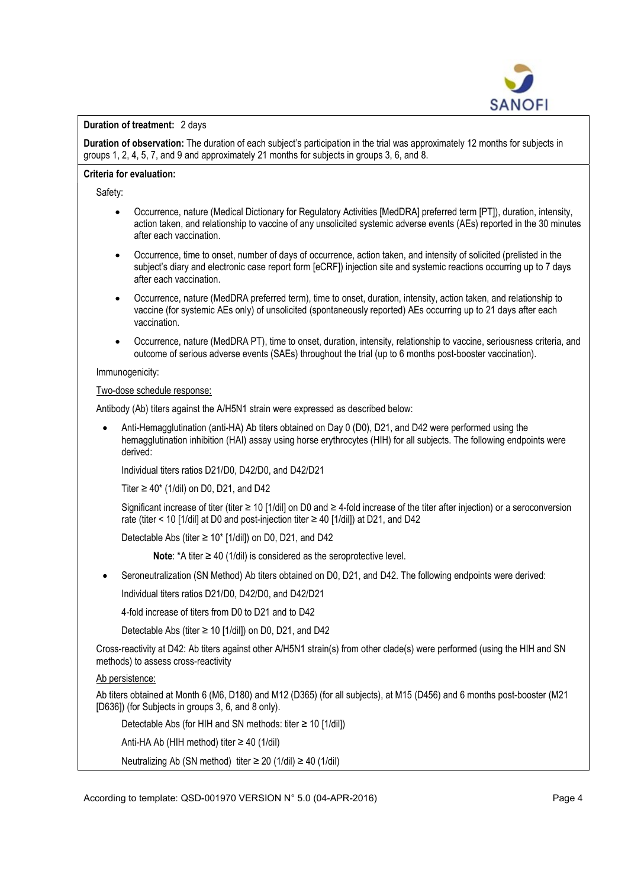

# Duration of treatment: 2 days

Duration of observation: The duration of each subject's participation in the trial was approximately 12 months for subjects in groups 1, 2, 4, 5, 7, and 9 and approximately 21 months for subjects in groups 3, 6, and 8.

## Criteria for evaluation:

Safety:

- Occurrence, nature (Medical Dictionary for Regulatory Activities [MedDRA] preferred term [PT]), duration, intensity, action taken, and relationship to vaccine of any unsolicited systemic adverse events (AEs) reported in the 30 minutes after each vaccination.
- Occurrence, time to onset, number of days of occurrence, action taken, and intensity of solicited (prelisted in the subject's diary and electronic case report form [eCRF]) injection site and systemic reactions occurring up to 7 days after each vaccination.
- Occurrence, nature (MedDRA preferred term), time to onset, duration, intensity, action taken, and relationship to vaccine (for systemic AEs only) of unsolicited (spontaneously reported) AEs occurring up to 21 days after each vaccination.
- Occurrence, nature (MedDRA PT), time to onset, duration, intensity, relationship to vaccine, seriousness criteria, and outcome of serious adverse events (SAEs) throughout the trial (up to 6 months post-booster vaccination).

## Immunogenicity:

## Two-dose schedule response:

Antibody (Ab) titers against the A/H5N1 strain were expressed as described below:

 Anti-Hemagglutination (anti-HA) Ab titers obtained on Day 0 (D0), D21, and D42 were performed using the hemagglutination inhibition (HAI) assay using horse erythrocytes (HIH) for all subjects. The following endpoints were derived:

Individual titers ratios D21/D0, D42/D0, and D42/D21

Titer ≥ 40\* (1/dil) on D0, D21, and D42

Significant increase of titer (titer ≥ 10 [1/dil] on D0 and ≥ 4-fold increase of the titer after injection) or a seroconversion rate (titer < 10 [1/dil] at D0 and post-injection titer  $\geq$  40 [1/dil]) at D21, and D42

Detectable Abs (titer  $\geq 10^{*}$  [1/dil]) on D0, D21, and D42

Note:  $*A$  titer ≥ 40 (1/dil) is considered as the seroprotective level.

Seroneutralization (SN Method) Ab titers obtained on D0, D21, and D42. The following endpoints were derived:

Individual titers ratios D21/D0, D42/D0, and D42/D21

4-fold increase of titers from D0 to D21 and to D42

Detectable Abs (titer  $\geq$  10 [1/dil]) on D0, D21, and D42

Cross-reactivity at D42: Ab titers against other A/H5N1 strain(s) from other clade(s) were performed (using the HIH and SN methods) to assess cross-reactivity

Ab persistence:

Ab titers obtained at Month 6 (M6, D180) and M12 (D365) (for all subjects), at M15 (D456) and 6 months post-booster (M21 [D636]) (for Subjects in groups 3, 6, and 8 only).

Detectable Abs (for HIH and SN methods: titer ≥ 10 [1/dil])

Anti-HA Ab (HIH method) titer ≥ 40 (1/dil)

Neutralizing Ab (SN method) titer ≥ 20 (1/dil) ≥ 40 (1/dil)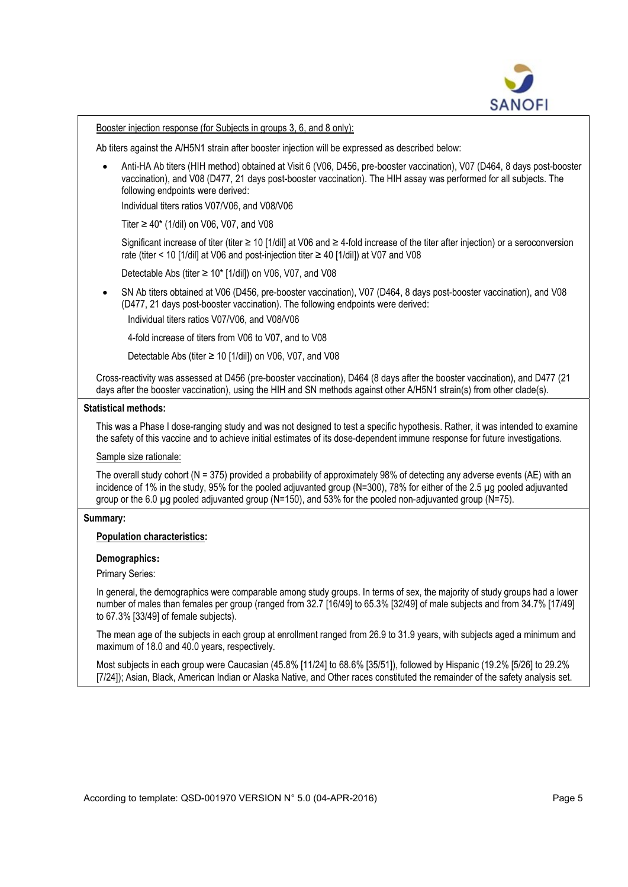

Booster injection response (for Subjects in groups 3, 6, and 8 only):

Ab titers against the A/H5N1 strain after booster injection will be expressed as described below:

 Anti-HA Ab titers (HIH method) obtained at Visit 6 (V06, D456, pre-booster vaccination), V07 (D464, 8 days post-booster vaccination), and V08 (D477, 21 days post-booster vaccination). The HIH assay was performed for all subjects. The following endpoints were derived:

Individual titers ratios V07/V06, and V08/V06

Titer  $\geq 40^*$  (1/dil) on V06, V07, and V08

Significant increase of titer (titer ≥ 10 [1/dil] at V06 and ≥ 4-fold increase of the titer after injection) or a seroconversion rate (titer < 10 [1/dil] at V06 and post-injection titer ≥ 40 [1/dil]) at V07 and V08

Detectable Abs (titer ≥ 10\* [1/dil]) on V06, V07, and V08

 SN Ab titers obtained at V06 (D456, pre-booster vaccination), V07 (D464, 8 days post-booster vaccination), and V08 (D477, 21 days post-booster vaccination). The following endpoints were derived: Individual titers ratios V07/V06, and V08/V06

4-fold increase of titers from V06 to V07, and to V08

Detectable Abs (titer ≥ 10 [1/dil]) on V06, V07, and V08

Cross-reactivity was assessed at D456 (pre-booster vaccination), D464 (8 days after the booster vaccination), and D477 (21 days after the booster vaccination), using the HIH and SN methods against other A/H5N1 strain(s) from other clade(s).

### Statistical methods:

This was a Phase I dose-ranging study and was not designed to test a specific hypothesis. Rather, it was intended to examine the safety of this vaccine and to achieve initial estimates of its dose-dependent immune response for future investigations.

## Sample size rationale:

The overall study cohort (N = 375) provided a probability of approximately 98% of detecting any adverse events (AE) with an incidence of 1% in the study, 95% for the pooled adjuvanted group (N=300), 78% for either of the 2.5 µg pooled adjuvanted group or the 6.0 µg pooled adjuvanted group (N=150), and 53% for the pooled non-adjuvanted group (N=75).

### Summary:

# Population characteristics:

### Demographics:

Primary Series:

In general, the demographics were comparable among study groups. In terms of sex, the majority of study groups had a lower number of males than females per group (ranged from 32.7 [16/49] to 65.3% [32/49] of male subjects and from 34.7% [17/49] to 67.3% [33/49] of female subjects).

The mean age of the subjects in each group at enrollment ranged from 26.9 to 31.9 years, with subjects aged a minimum and maximum of 18.0 and 40.0 years, respectively.

Most subjects in each group were Caucasian (45.8% [11/24] to 68.6% [35/51]), followed by Hispanic (19.2% [5/26] to 29.2% [7/24]); Asian, Black, American Indian or Alaska Native, and Other races constituted the remainder of the safety analysis set.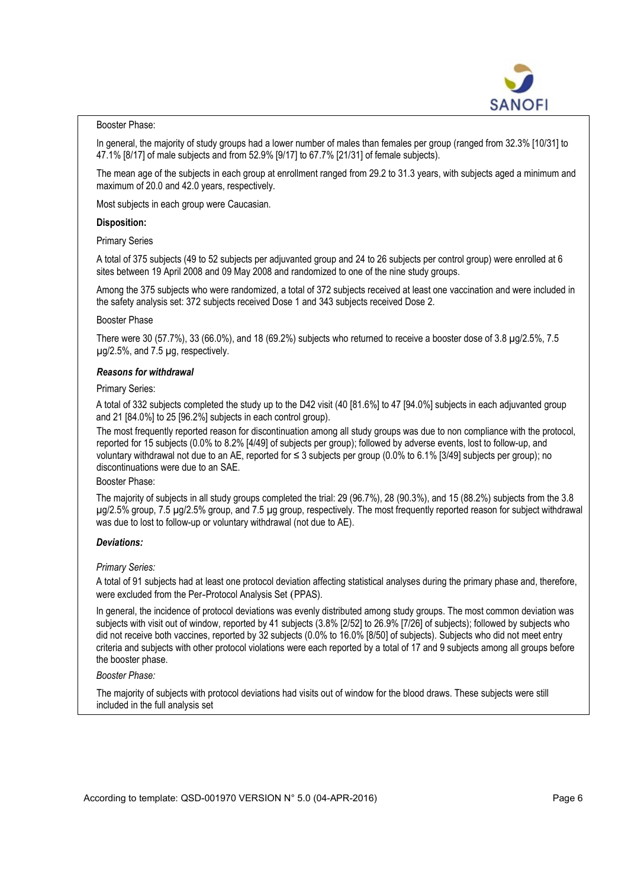

## Booster Phase:

In general, the majority of study groups had a lower number of males than females per group (ranged from 32.3% [10/31] to 47.1% [8/17] of male subjects and from 52.9% [9/17] to 67.7% [21/31] of female subjects).

The mean age of the subjects in each group at enrollment ranged from 29.2 to 31.3 years, with subjects aged a minimum and maximum of 20.0 and 42.0 years, respectively.

Most subjects in each group were Caucasian.

### Disposition:

Primary Series

A total of 375 subjects (49 to 52 subjects per adjuvanted group and 24 to 26 subjects per control group) were enrolled at 6 sites between 19 April 2008 and 09 May 2008 and randomized to one of the nine study groups.

Among the 375 subjects who were randomized, a total of 372 subjects received at least one vaccination and were included in the safety analysis set: 372 subjects received Dose 1 and 343 subjects received Dose 2.

### Booster Phase

There were 30 (57.7%), 33 (66.0%), and 18 (69.2%) subjects who returned to receive a booster dose of 3.8 µg/2.5%, 7.5 µg/2.5%, and 7.5 µg, respectively.

## Reasons for withdrawal

### Primary Series:

A total of 332 subjects completed the study up to the D42 visit (40 [81.6%] to 47 [94.0%] subjects in each adjuvanted group and 21 [84.0%] to 25 [96.2%] subjects in each control group).

The most frequently reported reason for discontinuation among all study groups was due to non compliance with the protocol, reported for 15 subjects (0.0% to 8.2% [4/49] of subjects per group); followed by adverse events, lost to follow-up, and voluntary withdrawal not due to an AE, reported for ≤ 3 subjects per group (0.0% to 6.1% [3/49] subjects per group); no discontinuations were due to an SAE.

# Booster Phase:

The majority of subjects in all study groups completed the trial: 29 (96.7%), 28 (90.3%), and 15 (88.2%) subjects from the 3.8 µg/2.5% group, 7.5 µg/2.5% group, and 7.5 µg group, respectively. The most frequently reported reason for subject withdrawal was due to lost to follow-up or voluntary withdrawal (not due to AE).

## Deviations:

## Primary Series:

A total of 91 subjects had at least one protocol deviation affecting statistical analyses during the primary phase and, therefore, were excluded from the Per-Protocol Analysis Set (PPAS).

In general, the incidence of protocol deviations was evenly distributed among study groups. The most common deviation was subjects with visit out of window, reported by 41 subjects (3.8% [2/52] to 26.9% [7/26] of subjects); followed by subjects who did not receive both vaccines, reported by 32 subjects (0.0% to 16.0% [8/50] of subjects). Subjects who did not meet entry criteria and subjects with other protocol violations were each reported by a total of 17 and 9 subjects among all groups before the booster phase.

# Booster Phase:

The majority of subjects with protocol deviations had visits out of window for the blood draws. These subjects were still included in the full analysis set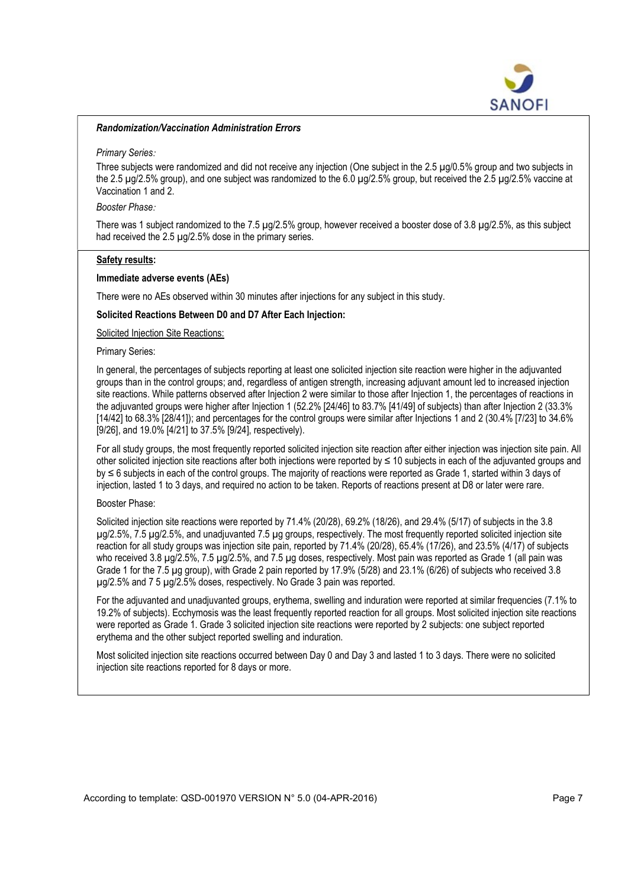

### Randomization/Vaccination Administration Errors

#### Primary Series:

Three subjects were randomized and did not receive any injection (One subject in the 2.5 µg/0.5% group and two subjects in the 2.5  $\mu$ g/2.5% group), and one subject was randomized to the 6.0  $\mu$ g/2.5% group, but received the 2.5  $\mu$ g/2.5% vaccine at Vaccination 1 and 2.

### Booster Phase:

There was 1 subject randomized to the 7.5 µg/2.5% group, however received a booster dose of 3.8 µg/2.5%, as this subject had received the 2.5  $\mu$ g/2.5% dose in the primary series.

### Safety results:

#### Immediate adverse events (AEs)

There were no AEs observed within 30 minutes after injections for any subject in this study.

# Solicited Reactions Between D0 and D7 After Each Injection:

Solicited Injection Site Reactions:

#### Primary Series:

In general, the percentages of subjects reporting at least one solicited injection site reaction were higher in the adjuvanted groups than in the control groups; and, regardless of antigen strength, increasing adjuvant amount led to increased injection site reactions. While patterns observed after Injection 2 were similar to those after Injection 1, the percentages of reactions in the adjuvanted groups were higher after Injection 1 (52.2% [24/46] to 83.7% [41/49] of subjects) than after Injection 2 (33.3% [14/42] to 68.3% [28/41]); and percentages for the control groups were similar after Injections 1 and 2 (30.4% [7/23] to 34.6% [9/26], and 19.0% [4/21] to 37.5% [9/24], respectively).

For all study groups, the most frequently reported solicited injection site reaction after either injection was injection site pain. All other solicited injection site reactions after both injections were reported by  $\leq 10$  subjects in each of the adjuvanted groups and by ≤ 6 subjects in each of the control groups. The majority of reactions were reported as Grade 1, started within 3 days of injection, lasted 1 to 3 days, and required no action to be taken. Reports of reactions present at D8 or later were rare.

## Booster Phase:

Solicited injection site reactions were reported by 71.4% (20/28), 69.2% (18/26), and 29.4% (5/17) of subjects in the 3.8 µg/2.5%, 7.5 µg/2.5%, and unadjuvanted 7.5 µg groups, respectively. The most frequently reported solicited injection site reaction for all study groups was injection site pain, reported by 71.4% (20/28), 65.4% (17/26), and 23.5% (4/17) of subjects who received 3.8 µg/2.5%, 7.5 µg/2.5%, and 7.5 µg doses, respectively. Most pain was reported as Grade 1 (all pain was Grade 1 for the 7.5 µg group), with Grade 2 pain reported by 17.9% (5/28) and 23.1% (6/26) of subjects who received 3.8 µg/2.5% and 7 5 µg/2.5% doses, respectively. No Grade 3 pain was reported.

For the adjuvanted and unadjuvanted groups, erythema, swelling and induration were reported at similar frequencies (7.1% to 19.2% of subjects). Ecchymosis was the least frequently reported reaction for all groups. Most solicited injection site reactions were reported as Grade 1. Grade 3 solicited injection site reactions were reported by 2 subjects: one subject reported erythema and the other subject reported swelling and induration.

Most solicited injection site reactions occurred between Day 0 and Day 3 and lasted 1 to 3 days. There were no solicited injection site reactions reported for 8 days or more.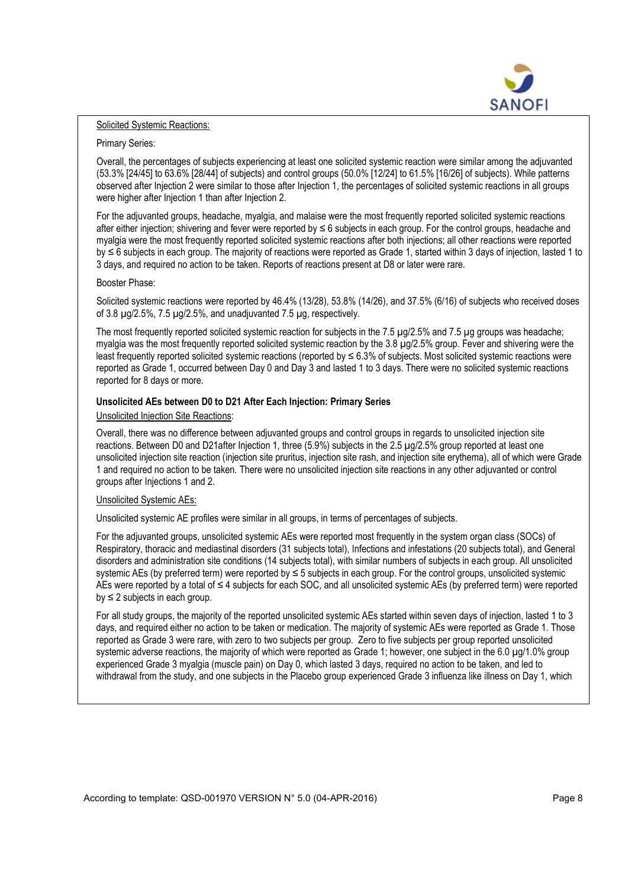

### Solicited Systemic Reactions:

## Primary Series:

Overall, the percentages of subjects experiencing at least one solicited systemic reaction were similar among the adjuvanted (53.3% [24/45] to 63.6% [28/44] of subjects) and control groups (50.0% [12/24] to 61.5% [16/26] of subjects). While patterns observed after Injection 2 were similar to those after Injection 1, the percentages of solicited systemic reactions in all groups were higher after Injection 1 than after Injection 2.

For the adjuvanted groups, headache, myalgia, and malaise were the most frequently reported solicited systemic reactions after either injection; shivering and fever were reported by  $\leq 6$  subjects in each group. For the control groups, headache and myalgia were the most frequently reported solicited systemic reactions after both injections; all other reactions were reported by ≤ 6 subjects in each group. The majority of reactions were reported as Grade 1, started within 3 days of injection, lasted 1 to 3 days, and required no action to be taken. Reports of reactions present at D8 or later were rare.

### Booster Phase:

Solicited systemic reactions were reported by 46.4% (13/28), 53.8% (14/26), and 37.5% (6/16) of subjects who received doses of 3.8 µg/2.5%, 7.5 µg/2.5%, and unadjuvanted 7.5 µg, respectively.

The most frequently reported solicited systemic reaction for subjects in the 7.5 µg/2.5% and 7.5 µg groups was headache; myalgia was the most frequently reported solicited systemic reaction by the 3.8 µg/2.5% group. Fever and shivering were the least frequently reported solicited systemic reactions (reported by ≤ 6.3% of subjects. Most solicited systemic reactions were reported as Grade 1, occurred between Day 0 and Day 3 and lasted 1 to 3 days. There were no solicited systemic reactions reported for 8 days or more.

## Unsolicited AEs between D0 to D21 After Each Injection: Primary Series

### Unsolicited Injection Site Reactions:

Overall, there was no difference between adjuvanted groups and control groups in regards to unsolicited injection site reactions. Between D0 and D21after Injection 1, three (5.9%) subjects in the 2.5 µg/2.5% group reported at least one unsolicited injection site reaction (injection site pruritus, injection site rash, and injection site erythema), all of which were Grade 1 and required no action to be taken. There were no unsolicited injection site reactions in any other adjuvanted or control groups after Injections 1 and 2.

### Unsolicited Systemic AEs:

Unsolicited systemic AE profiles were similar in all groups, in terms of percentages of subjects.

For the adjuvanted groups, unsolicited systemic AEs were reported most frequently in the system organ class (SOCs) of Respiratory, thoracic and mediastinal disorders (31 subjects total), Infections and infestations (20 subjects total), and General disorders and administration site conditions (14 subjects total), with similar numbers of subjects in each group. All unsolicited systemic AEs (by preferred term) were reported by ≤ 5 subjects in each group. For the control groups, unsolicited systemic AEs were reported by a total of ≤ 4 subjects for each SOC, and all unsolicited systemic AEs (by preferred term) were reported  $by \leq 2$  subjects in each group.

For all study groups, the majority of the reported unsolicited systemic AEs started within seven days of injection, lasted 1 to 3 days, and required either no action to be taken or medication. The majority of systemic AEs were reported as Grade 1. Those reported as Grade 3 were rare, with zero to two subjects per group. Zero to five subjects per group reported unsolicited systemic adverse reactions, the majority of which were reported as Grade 1; however, one subject in the 6.0 µg/1.0% group experienced Grade 3 myalgia (muscle pain) on Day 0, which lasted 3 days, required no action to be taken, and led to withdrawal from the study, and one subjects in the Placebo group experienced Grade 3 influenza like illness on Day 1, which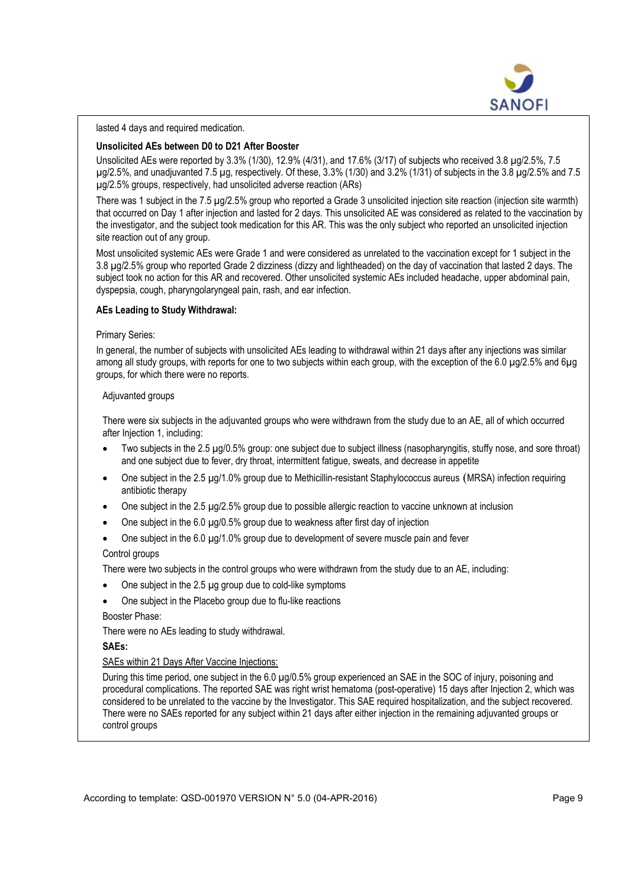

lasted 4 days and required medication.

# Unsolicited AEs between D0 to D21 After Booster

Unsolicited AEs were reported by 3.3% (1/30), 12.9% (4/31), and 17.6% (3/17) of subjects who received 3.8 µg/2.5%, 7.5  $\mu$ g/2.5%, and unadjuvanted 7.5  $\mu$ g, respectively. Of these, 3.3% (1/30) and 3.2% (1/31) of subjects in the 3.8  $\mu$ g/2.5% and 7.5 µg/2.5% groups, respectively, had unsolicited adverse reaction (ARs)

There was 1 subject in the 7.5 µg/2.5% group who reported a Grade 3 unsolicited injection site reaction (injection site warmth) that occurred on Day 1 after injection and lasted for 2 days. This unsolicited AE was considered as related to the vaccination by the investigator, and the subject took medication for this AR. This was the only subject who reported an unsolicited injection site reaction out of any group.

Most unsolicited systemic AEs were Grade 1 and were considered as unrelated to the vaccination except for 1 subject in the 3.8 µg/2.5% group who reported Grade 2 dizziness (dizzy and lightheaded) on the day of vaccination that lasted 2 days. The subject took no action for this AR and recovered. Other unsolicited systemic AEs included headache, upper abdominal pain, dyspepsia, cough, pharyngolaryngeal pain, rash, and ear infection.

# AEs Leading to Study Withdrawal:

## Primary Series:

In general, the number of subjects with unsolicited AEs leading to withdrawal within 21 days after any injections was similar among all study groups, with reports for one to two subjects within each group, with the exception of the 6.0 µg/2.5% and 6µg groups, for which there were no reports.

## Adjuvanted groups

There were six subjects in the adjuvanted groups who were withdrawn from the study due to an AE, all of which occurred after Injection 1, including:

- Two subjects in the 2.5 µg/0.5% group: one subject due to subject illness (nasopharyngitis, stuffy nose, and sore throat) and one subject due to fever, dry throat, intermittent fatigue, sweats, and decrease in appetite
- One subject in the 2.5 µg/1.0% group due to Methicillin-resistant Staphylococcus aureus (MRSA) infection requiring antibiotic therapy
- One subject in the 2.5 µg/2.5% group due to possible allergic reaction to vaccine unknown at inclusion
- One subject in the 6.0 µg/0.5% group due to weakness after first day of injection
- One subject in the 6.0 µg/1.0% group due to development of severe muscle pain and fever

## Control groups

There were two subjects in the control groups who were withdrawn from the study due to an AE, including:

- One subject in the 2.5 µg group due to cold-like symptoms
- One subject in the Placebo group due to flu-like reactions

Booster Phase:

There were no AEs leading to study withdrawal.

## SAEs:

# SAEs within 21 Days After Vaccine Injections:

During this time period, one subject in the 6.0 µg/0.5% group experienced an SAE in the SOC of injury, poisoning and procedural complications. The reported SAE was right wrist hematoma (post-operative) 15 days after Injection 2, which was considered to be unrelated to the vaccine by the Investigator. This SAE required hospitalization, and the subject recovered. There were no SAEs reported for any subject within 21 days after either injection in the remaining adjuvanted groups or control groups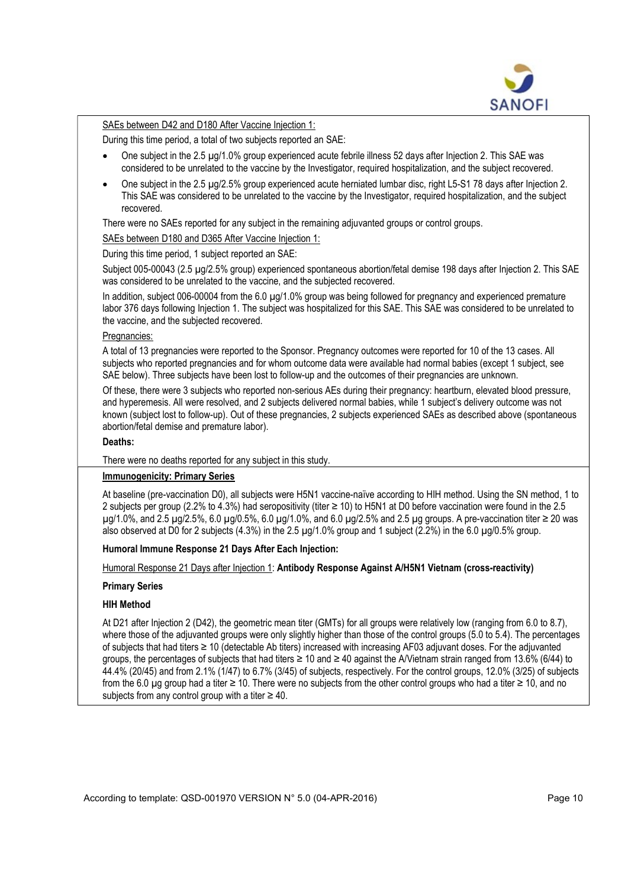

## SAEs between D42 and D180 After Vaccine Injection 1:

During this time period, a total of two subjects reported an SAE:

- One subject in the 2.5 µg/1.0% group experienced acute febrile illness 52 days after Injection 2. This SAE was considered to be unrelated to the vaccine by the Investigator, required hospitalization, and the subject recovered.
- One subject in the 2.5 µg/2.5% group experienced acute herniated lumbar disc, right L5-S1 78 days after Injection 2. This SAE was considered to be unrelated to the vaccine by the Investigator, required hospitalization, and the subject recovered.

There were no SAEs reported for any subject in the remaining adjuvanted groups or control groups.

SAEs between D180 and D365 After Vaccine Injection 1:

During this time period, 1 subject reported an SAE:

Subject 005-00043 (2.5 µg/2.5% group) experienced spontaneous abortion/fetal demise 198 days after Injection 2. This SAE was considered to be unrelated to the vaccine, and the subjected recovered.

In addition, subject 006-00004 from the 6.0 µg/1.0% group was being followed for pregnancy and experienced premature labor 376 days following Injection 1. The subject was hospitalized for this SAE. This SAE was considered to be unrelated to the vaccine, and the subjected recovered.

## Pregnancies:

A total of 13 pregnancies were reported to the Sponsor. Pregnancy outcomes were reported for 10 of the 13 cases. All subjects who reported pregnancies and for whom outcome data were available had normal babies (except 1 subject, see SAE below). Three subjects have been lost to follow-up and the outcomes of their pregnancies are unknown.

Of these, there were 3 subjects who reported non-serious AEs during their pregnancy: heartburn, elevated blood pressure, and hyperemesis. All were resolved, and 2 subjects delivered normal babies, while 1 subject's delivery outcome was not known (subject lost to follow-up). Out of these pregnancies, 2 subjects experienced SAEs as described above (spontaneous abortion/fetal demise and premature labor).

## Deaths:

There were no deaths reported for any subject in this study.

## Immunogenicity: Primary Series

At baseline (pre-vaccination D0), all subjects were H5N1 vaccine-naïve according to HIH method. Using the SN method, 1 to 2 subjects per group (2.2% to 4.3%) had seropositivity (titer ≥ 10) to H5N1 at D0 before vaccination were found in the 2.5 µg/1.0%, and 2.5 µg/2.5%, 6.0 µg/0.5%, 6.0 µg/1.0%, and 6.0 µg/2.5% and 2.5 µg groups. A pre-vaccination titer ≥ 20 was also observed at D0 for 2 subjects (4.3%) in the 2.5  $\mu$ g/1.0% group and 1 subject (2.2%) in the 6.0  $\mu$ g/0.5% group.

## Humoral Immune Response 21 Days After Each Injection:

Humoral Response 21 Days after Injection 1: Antibody Response Against A/H5N1 Vietnam (cross-reactivity)

## Primary Series

## HIH Method

At D21 after Injection 2 (D42), the geometric mean titer (GMTs) for all groups were relatively low (ranging from 6.0 to 8.7), where those of the adjuvanted groups were only slightly higher than those of the control groups (5.0 to 5.4). The percentages of subjects that had titers ≥ 10 (detectable Ab titers) increased with increasing AF03 adjuvant doses. For the adjuvanted groups, the percentages of subjects that had titers ≥ 10 and ≥ 40 against the A/Vietnam strain ranged from 13.6% (6/44) to 44.4% (20/45) and from 2.1% (1/47) to 6.7% (3/45) of subjects, respectively. For the control groups, 12.0% (3/25) of subjects from the 6.0 µg group had a titer ≥ 10. There were no subjects from the other control groups who had a titer ≥ 10, and no subjects from any control group with a titer  $\geq 40$ .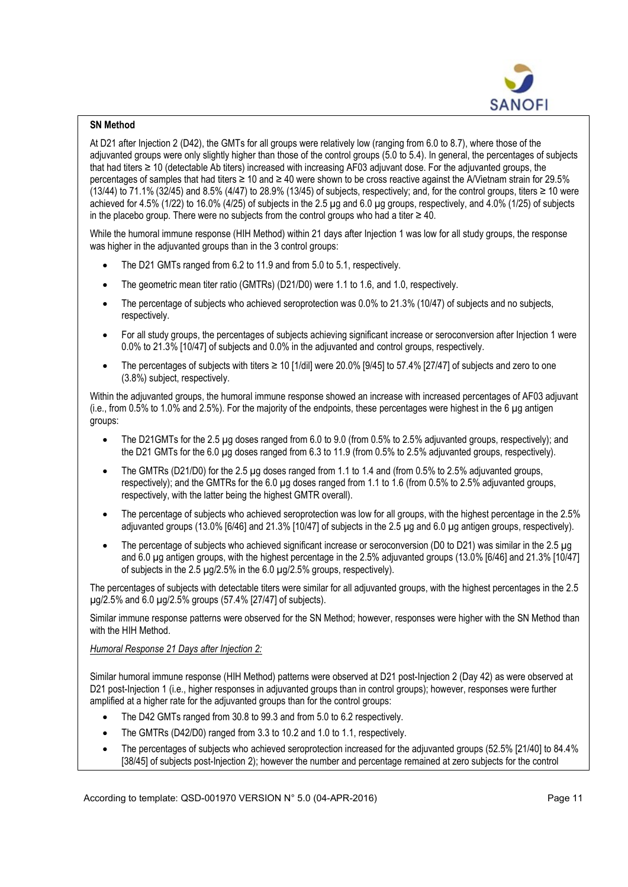

# SN Method

At D21 after Injection 2 (D42), the GMTs for all groups were relatively low (ranging from 6.0 to 8.7), where those of the adjuvanted groups were only slightly higher than those of the control groups (5.0 to 5.4). In general, the percentages of subjects that had titers ≥ 10 (detectable Ab titers) increased with increasing AF03 adjuvant dose. For the adjuvanted groups, the percentages of samples that had titers ≥ 10 and ≥ 40 were shown to be cross reactive against the A/Vietnam strain for 29.5% (13/44) to 71.1% (32/45) and 8.5% (4/47) to 28.9% (13/45) of subjects, respectively; and, for the control groups, titers  $\geq 10$  were achieved for 4.5% (1/22) to 16.0% (4/25) of subjects in the 2.5 µg and 6.0 µg groups, respectively, and 4.0% (1/25) of subjects in the placebo group. There were no subjects from the control groups who had a titer  $\geq 40$ .

While the humoral immune response (HIH Method) within 21 days after Injection 1 was low for all study groups, the response was higher in the adjuvanted groups than in the 3 control groups:

- The D21 GMTs ranged from 6.2 to 11.9 and from 5.0 to 5.1, respectively.
- The geometric mean titer ratio (GMTRs) (D21/D0) were 1.1 to 1.6, and 1.0, respectively.
- The percentage of subjects who achieved seroprotection was 0.0% to 21.3% (10/47) of subjects and no subjects, respectively.
- For all study groups, the percentages of subjects achieving significant increase or seroconversion after Injection 1 were 0.0% to 21.3% [10/47] of subjects and 0.0% in the adjuvanted and control groups, respectively.
- The percentages of subjects with titers  $\geq 10$  [1/dil] were 20.0% [9/45] to 57.4% [27/47] of subjects and zero to one (3.8%) subject, respectively.

Within the adjuvanted groups, the humoral immune response showed an increase with increased percentages of AF03 adjuvant  $(i.e., from 0.5\%$  to 1.0% and 2.5%). For the majority of the endpoints, these percentages were highest in the 6 µg antigen groups:

- The D21GMTs for the 2.5 µg doses ranged from 6.0 to 9.0 (from 0.5% to 2.5% adjuvanted groups, respectively); and the D21 GMTs for the 6.0 µg doses ranged from 6.3 to 11.9 (from 0.5% to 2.5% adjuvanted groups, respectively).
- The GMTRs (D21/D0) for the 2.5 µg doses ranged from 1.1 to 1.4 and (from 0.5% to 2.5% adjuvanted groups, respectively); and the GMTRs for the 6.0 µg doses ranged from 1.1 to 1.6 (from 0.5% to 2.5% adjuvanted groups, respectively, with the latter being the highest GMTR overall).
- The percentage of subjects who achieved seroprotection was low for all groups, with the highest percentage in the 2.5% adjuvanted groups (13.0% [6/46] and 21.3% [10/47] of subjects in the 2.5 µg and 6.0 µg antigen groups, respectively).
- The percentage of subjects who achieved significant increase or seroconversion (D0 to D21) was similar in the 2.5 µg and 6.0 µg antigen groups, with the highest percentage in the 2.5% adjuvanted groups (13.0% [6/46] and 21.3% [10/47] of subjects in the 2.5 µg/2.5% in the 6.0 µg/2.5% groups, respectively).

The percentages of subjects with detectable titers were similar for all adjuvanted groups, with the highest percentages in the 2.5 µg/2.5% and 6.0 µg/2.5% groups (57.4% [27/47] of subjects).

Similar immune response patterns were observed for the SN Method; however, responses were higher with the SN Method than with the HIH Method.

Humoral Response 21 Days after Injection 2:

Similar humoral immune response (HIH Method) patterns were observed at D21 post-Injection 2 (Day 42) as were observed at D21 post-Injection 1 (i.e., higher responses in adjuvanted groups than in control groups); however, responses were further amplified at a higher rate for the adjuvanted groups than for the control groups:

- The D42 GMTs ranged from 30.8 to 99.3 and from 5.0 to 6.2 respectively.
- The GMTRs (D42/D0) ranged from 3.3 to 10.2 and 1.0 to 1.1, respectively.
- The percentages of subjects who achieved seroprotection increased for the adjuvanted groups (52.5% [21/40] to 84.4% [38/45] of subjects post-Injection 2); however the number and percentage remained at zero subjects for the control

According to template: QSD-001970 VERSION N° 5.0 (04-APR-2016) Page 11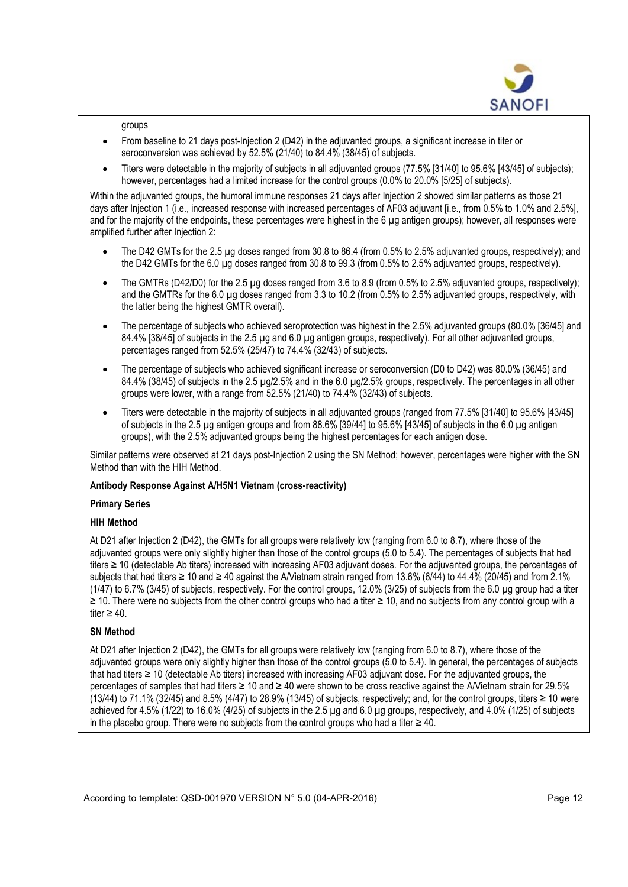

groups

- From baseline to 21 days post-Injection 2 (D42) in the adjuvanted groups, a significant increase in titer or seroconversion was achieved by 52.5% (21/40) to 84.4% (38/45) of subjects.
- Titers were detectable in the majority of subjects in all adjuvanted groups (77.5% [31/40] to 95.6% [43/45] of subjects); however, percentages had a limited increase for the control groups (0.0% to 20.0% [5/25] of subjects).

Within the adjuvanted groups, the humoral immune responses 21 days after Injection 2 showed similar patterns as those 21 days after Injection 1 (i.e., increased response with increased percentages of AF03 adjuvant [i.e., from 0.5% to 1.0% and 2.5%], and for the majority of the endpoints, these percentages were highest in the 6 µg antigen groups); however, all responses were amplified further after Injection 2:

- The D42 GMTs for the 2.5 ug doses ranged from 30.8 to 86.4 (from 0.5% to 2.5% adjuvanted groups, respectively); and the D42 GMTs for the 6.0 µg doses ranged from 30.8 to 99.3 (from 0.5% to 2.5% adjuvanted groups, respectively).
- The GMTRs (D42/D0) for the 2.5 µg doses ranged from 3.6 to 8.9 (from 0.5% to 2.5% adjuvanted groups, respectively); and the GMTRs for the 6.0 µg doses ranged from 3.3 to 10.2 (from 0.5% to 2.5% adjuvanted groups, respectively, with the latter being the highest GMTR overall).
- The percentage of subjects who achieved seroprotection was highest in the 2.5% adjuvanted groups (80.0% [36/45] and 84.4% [38/45] of subjects in the 2.5 µg and 6.0 µg antigen groups, respectively). For all other adjuvanted groups, percentages ranged from 52.5% (25/47) to 74.4% (32/43) of subjects.
- The percentage of subjects who achieved significant increase or seroconversion (D0 to D42) was 80.0% (36/45) and 84.4% (38/45) of subjects in the 2.5 µg/2.5% and in the 6.0 µg/2.5% groups, respectively. The percentages in all other groups were lower, with a range from 52.5% (21/40) to 74.4% (32/43) of subjects.
- Titers were detectable in the majority of subjects in all adjuvanted groups (ranged from 77.5% [31/40] to 95.6% [43/45] of subjects in the 2.5 µg antigen groups and from 88.6% [39/44] to 95.6% [43/45] of subjects in the 6.0 µg antigen groups), with the 2.5% adjuvanted groups being the highest percentages for each antigen dose.

Similar patterns were observed at 21 days post-Injection 2 using the SN Method; however, percentages were higher with the SN Method than with the HIH Method.

# Antibody Response Against A/H5N1 Vietnam (cross-reactivity)

## Primary Series

# HIH Method

At D21 after Injection 2 (D42), the GMTs for all groups were relatively low (ranging from 6.0 to 8.7), where those of the adjuvanted groups were only slightly higher than those of the control groups (5.0 to 5.4). The percentages of subjects that had titers ≥ 10 (detectable Ab titers) increased with increasing AF03 adjuvant doses. For the adjuvanted groups, the percentages of subjects that had titers  $\geq 10$  and  $\geq 40$  against the A/Vietnam strain ranged from 13.6% (6/44) to 44.4% (20/45) and from 2.1% (1/47) to 6.7% (3/45) of subjects, respectively. For the control groups, 12.0% (3/25) of subjects from the 6.0 µg group had a titer ≥ 10. There were no subjects from the other control groups who had a titer ≥ 10, and no subjects from any control group with a titer  $\geq 40$ .

# SN Method

At D21 after Injection 2 (D42), the GMTs for all groups were relatively low (ranging from 6.0 to 8.7), where those of the adjuvanted groups were only slightly higher than those of the control groups (5.0 to 5.4). In general, the percentages of subjects that had titers ≥ 10 (detectable Ab titers) increased with increasing AF03 adjuvant dose. For the adjuvanted groups, the percentages of samples that had titers ≥ 10 and ≥ 40 were shown to be cross reactive against the A/Vietnam strain for 29.5% (13/44) to 71.1% (32/45) and 8.5% (4/47) to 28.9% (13/45) of subjects, respectively; and, for the control groups, titers  $\geq 10$  were achieved for 4.5% (1/22) to 16.0% (4/25) of subjects in the 2.5 µg and 6.0 µg groups, respectively, and 4.0% (1/25) of subjects in the placebo group. There were no subjects from the control groups who had a titer ≥ 40.

According to template: QSD-001970 VERSION N° 5.0 (04-APR-2016) Page 12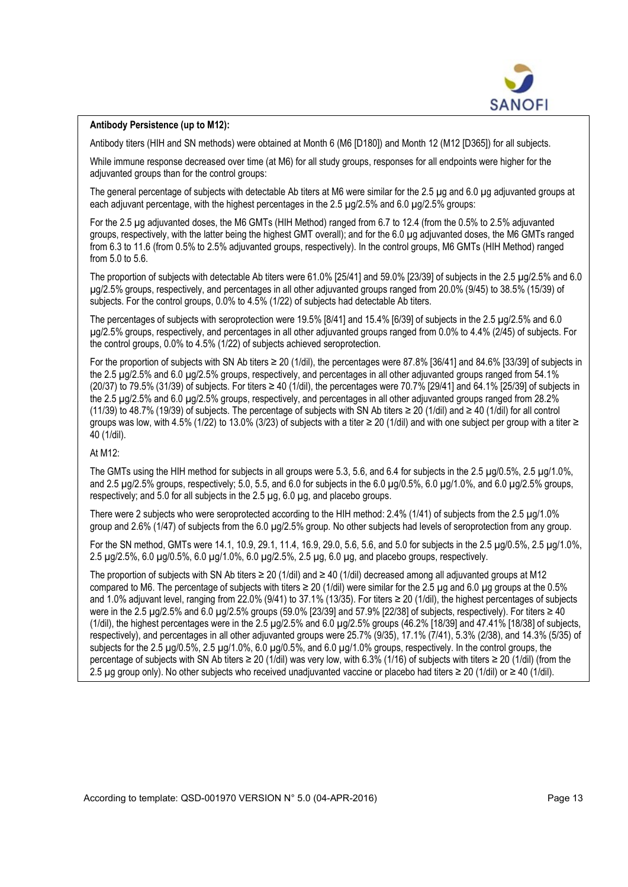

## Antibody Persistence (up to M12):

Antibody titers (HIH and SN methods) were obtained at Month 6 (M6 [D180]) and Month 12 (M12 [D365]) for all subjects.

While immune response decreased over time (at M6) for all study groups, responses for all endpoints were higher for the adiuvanted groups than for the control groups:

The general percentage of subjects with detectable Ab titers at M6 were similar for the 2.5 ug and 6.0 ug adjuvanted groups at each adjuvant percentage, with the highest percentages in the 2.5 µg/2.5% and 6.0 µg/2.5% groups:

For the 2.5 µg adjuvanted doses, the M6 GMTs (HIH Method) ranged from 6.7 to 12.4 (from the 0.5% to 2.5% adjuvanted groups, respectively, with the latter being the highest GMT overall); and for the 6.0 µg adjuvanted doses, the M6 GMTs ranged from 6.3 to 11.6 (from 0.5% to 2.5% adjuvanted groups, respectively). In the control groups, M6 GMTs (HIH Method) ranged from 5.0 to 5.6.

The proportion of subjects with detectable Ab titers were 61.0% [25/41] and 59.0% [23/39] of subjects in the 2.5 µg/2.5% and 6.0 µg/2.5% groups, respectively, and percentages in all other adjuvanted groups ranged from 20.0% (9/45) to 38.5% (15/39) of subjects. For the control groups, 0.0% to 4.5% (1/22) of subjects had detectable Ab titers.

The percentages of subjects with seroprotection were 19.5% [8/41] and 15.4% [6/39] of subjects in the 2.5 ug/2.5% and 6.0 µg/2.5% groups, respectively, and percentages in all other adjuvanted groups ranged from 0.0% to 4.4% (2/45) of subjects. For the control groups, 0.0% to 4.5% (1/22) of subjects achieved seroprotection.

For the proportion of subjects with SN Ab titers ≥ 20 (1/dil), the percentages were 87.8% [36/41] and 84.6% [33/39] of subjects in the 2.5 µg/2.5% and 6.0 µg/2.5% groups, respectively, and percentages in all other adjuvanted groups ranged from 54.1% (20/37) to 79.5% (31/39) of subjects. For titers  $\geq 40$  (1/dil), the percentages were 70.7% [29/41] and 64.1% [25/39] of subjects in the 2.5 µg/2.5% and 6.0 µg/2.5% groups, respectively, and percentages in all other adjuvanted groups ranged from 28.2% (11/39) to 48.7% (19/39) of subjects. The percentage of subjects with SN Ab titers ≥ 20 (1/dil) and ≥ 40 (1/dil) for all control groups was low, with 4.5% (1/22) to 13.0% (3/23) of subjects with a titer  $\geq 20$  (1/dil) and with one subject per group with a titer  $\geq$ 40 (1/dil).

## At M12:

The GMTs using the HIH method for subjects in all groups were 5.3, 5.6, and 6.4 for subjects in the 2.5 µg/0.5%, 2.5 µg/1.0%, and 2.5  $\mu$ g/2.5% groups, respectively; 5.0, 5.5, and 6.0 for subjects in the 6.0  $\mu$ g/0.5%, 6.0  $\mu$ g/1.0%, and 6.0  $\mu$ g/2.5% groups, respectively; and 5.0 for all subjects in the 2.5 µg, 6.0 µg, and placebo groups.

There were 2 subjects who were seroprotected according to the HIH method: 2.4% (1/41) of subjects from the 2.5 µg/1.0% group and 2.6% (1/47) of subjects from the 6.0 µg/2.5% group. No other subjects had levels of seroprotection from any group.

For the SN method, GMTs were 14.1, 10.9, 29.1, 11.4, 16.9, 29.0, 5.6, 5.6, and 5.0 for subjects in the 2.5 µg/0.5%, 2.5 µg/1.0%, 2.5 µg/2.5%, 6.0 µg/0.5%, 6.0 µg/1.0%, 6.0 µg/2.5%, 2.5 µg, 6.0 µg, and placebo groups, respectively.

The proportion of subjects with SN Ab titers  $\geq$  20 (1/dil) and  $\geq$  40 (1/dil) decreased among all adjuvanted groups at M12 compared to M6. The percentage of subjects with titers  $\geq$  20 (1/dil) were similar for the 2.5 µg and 6.0 µg groups at the 0.5% and 1.0% adjuvant level, ranging from 22.0% (9/41) to 37.1% (13/35). For titers ≥ 20 (1/dil), the highest percentages of subjects were in the 2.5 µg/2.5% and 6.0 µg/2.5% groups (59.0% [23/39] and 57.9% [22/38] of subjects, respectively). For titers ≥ 40 (1/dil), the highest percentages were in the 2.5 µg/2.5% and 6.0 µg/2.5% groups (46.2% [18/39] and 47.41% [18/38] of subjects, respectively), and percentages in all other adjuvanted groups were 25.7% (9/35), 17.1% (7/41), 5.3% (2/38), and 14.3% (5/35) of subjects for the 2.5 µg/0.5%, 2.5 µg/1.0%, 6.0 µg/0.5%, and 6.0 µg/1.0% groups, respectively. In the control groups, the percentage of subjects with SN Ab titers  $\geq 20$  (1/dil) was very low, with 6.3% (1/16) of subjects with titers  $\geq 20$  (1/dil) (from the 2.5 µg group only). No other subjects who received unadjuvanted vaccine or placebo had titers  $\geq$  20 (1/dil) or  $\geq$  40 (1/dil).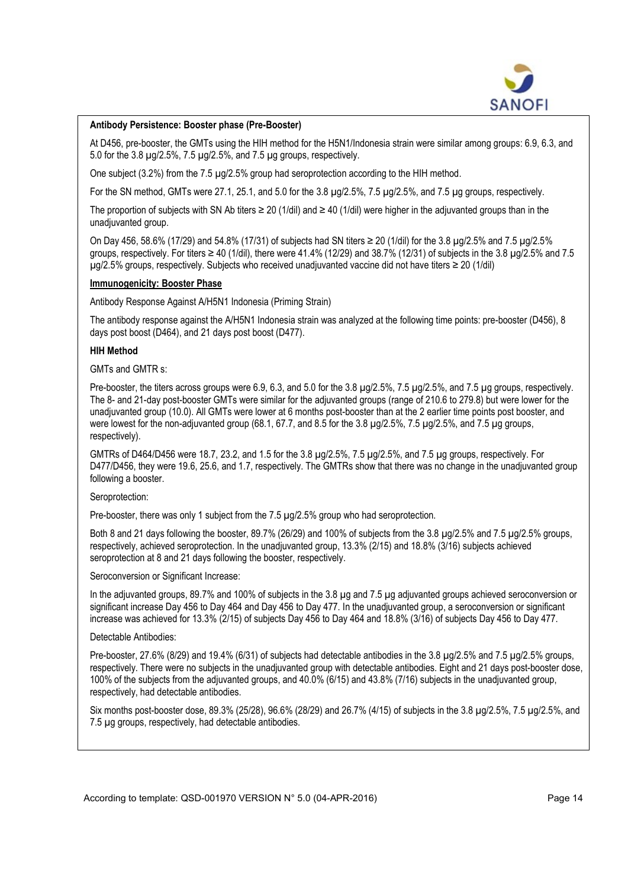

## Antibody Persistence: Booster phase (Pre-Booster)

At D456, pre-booster, the GMTs using the HIH method for the H5N1/Indonesia strain were similar among groups: 6.9, 6.3, and 5.0 for the 3.8 µg/2.5%, 7.5 µg/2.5%, and 7.5 µg groups, respectively.

One subject (3.2%) from the 7.5 µg/2.5% group had seroprotection according to the HIH method.

For the SN method, GMTs were 27.1, 25.1, and 5.0 for the 3.8 µg/2.5%, 7.5 µg/2.5%, and 7.5 µg groups, respectively.

The proportion of subjects with SN Ab titers ≥ 20 (1/dil) and ≥ 40 (1/dil) were higher in the adjuvanted groups than in the unadjuvanted group.

On Day 456, 58.6% (17/29) and 54.8% (17/31) of subjects had SN titers ≥ 20 (1/dil) for the 3.8 µg/2.5% and 7.5 µg/2.5% groups, respectively. For titers  $\geq 40$  (1/dil), there were 41.4% (12/29) and 38.7% (12/31) of subjects in the 3.8 µg/2.5% and 7.5 µg/2.5% groups, respectively. Subjects who received unadjuvanted vaccine did not have titers ≥ 20 (1/dil)

## Immunogenicity: Booster Phase

Antibody Response Against A/H5N1 Indonesia (Priming Strain)

The antibody response against the A/H5N1 Indonesia strain was analyzed at the following time points: pre-booster (D456), 8 days post boost (D464), and 21 days post boost (D477).

### HIH Method

GMTs and GMTR s:

Pre-booster, the titers across groups were 6.9, 6.3, and 5.0 for the 3.8 µg/2.5%, 7.5 µg/2.5%, and 7.5 µg groups, respectively. The 8- and 21-day post-booster GMTs were similar for the adjuvanted groups (range of 210.6 to 279.8) but were lower for the unadjuvanted group (10.0). All GMTs were lower at 6 months post-booster than at the 2 earlier time points post booster, and were lowest for the non-adjuvanted group (68.1, 67.7, and 8.5 for the 3.8 µg/2.5%, 7.5 µg/2.5%, and 7.5 µg groups, respectively).

GMTRs of D464/D456 were 18.7, 23.2, and 1.5 for the 3.8 µg/2.5%, 7.5 µg/2.5%, and 7.5 µg groups, respectively. For D477/D456, they were 19.6, 25.6, and 1.7, respectively. The GMTRs show that there was no change in the unadjuvanted group following a booster.

### Seroprotection:

Pre-booster, there was only 1 subject from the 7.5 µg/2.5% group who had seroprotection.

Both 8 and 21 days following the booster, 89.7% (26/29) and 100% of subjects from the 3.8  $\mu q/2.5$ % and 7.5  $\mu q/2.5$ % groups, respectively, achieved seroprotection. In the unadjuvanted group, 13.3% (2/15) and 18.8% (3/16) subjects achieved seroprotection at 8 and 21 days following the booster, respectively.

Seroconversion or Significant Increase:

In the adjuvanted groups, 89.7% and 100% of subjects in the 3.8 µg and 7.5 µg adjuvanted groups achieved seroconversion or significant increase Day 456 to Day 464 and Day 456 to Day 477. In the unadjuvanted group, a seroconversion or significant increase was achieved for 13.3% (2/15) of subjects Day 456 to Day 464 and 18.8% (3/16) of subjects Day 456 to Day 477.

### Detectable Antibodies:

Pre-booster, 27.6% (8/29) and 19.4% (6/31) of subjects had detectable antibodies in the 3.8 µg/2.5% and 7.5 µg/2.5% groups, respectively. There were no subjects in the unadjuvanted group with detectable antibodies. Eight and 21 days post-booster dose, 100% of the subjects from the adjuvanted groups, and 40.0% (6/15) and 43.8% (7/16) subjects in the unadjuvanted group, respectively, had detectable antibodies.

Six months post-booster dose, 89.3% (25/28), 96.6% (28/29) and 26.7% (4/15) of subjects in the 3.8 µg/2.5%, 7.5 µg/2.5%, and 7.5 µg groups, respectively, had detectable antibodies.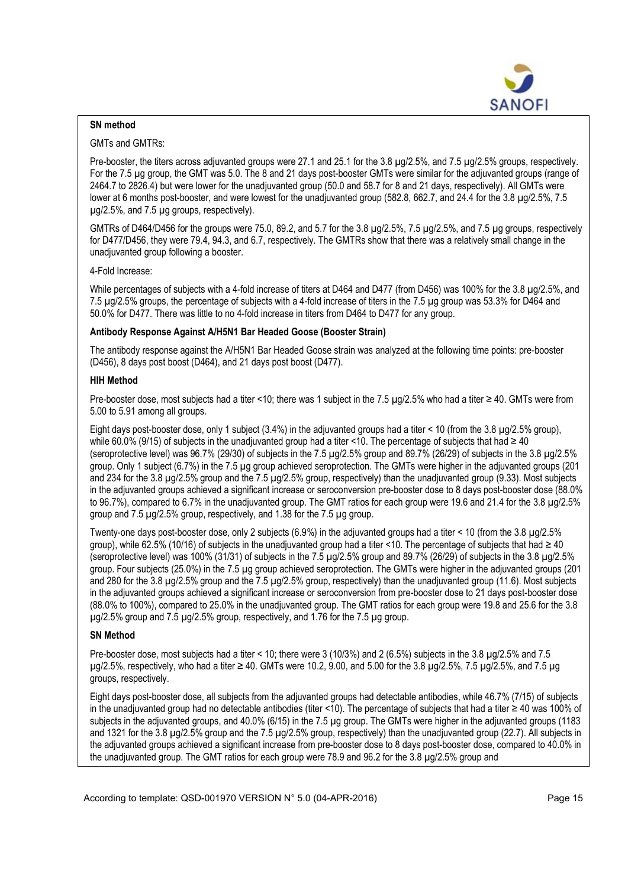

# SN method

## GMTs and GMTRs:

Pre-booster, the titers across adjuvanted groups were 27.1 and 25.1 for the 3.8 µg/2.5%, and 7.5 µg/2.5% groups, respectively. For the 7.5 µg group, the GMT was 5.0. The 8 and 21 days post-booster GMTs were similar for the adjuvanted groups (range of 2464.7 to 2826.4) but were lower for the unadjuvanted group (50.0 and 58.7 for 8 and 21 days, respectively). All GMTs were lower at 6 months post-booster, and were lowest for the unadjuvanted group (582.8, 662.7, and 24.4 for the 3.8 µg/2.5%, 7.5 µg/2.5%, and 7.5 µg groups, respectively).

GMTRs of D464/D456 for the groups were 75.0, 89.2, and 5.7 for the 3.8 µg/2.5%, 7.5 µg/2.5%, and 7.5 µg groups, respectively for D477/D456, they were 79.4, 94.3, and 6.7, respectively. The GMTRs show that there was a relatively small change in the unadjuvanted group following a booster.

## 4-Fold Increase:

While percentages of subjects with a 4-fold increase of titers at D464 and D477 (from D456) was 100% for the 3.8 µg/2.5%, and 7.5 µg/2.5% groups, the percentage of subjects with a 4-fold increase of titers in the 7.5 µg group was 53.3% for D464 and 50.0% for D477. There was little to no 4-fold increase in titers from D464 to D477 for any group.

## Antibody Response Against A/H5N1 Bar Headed Goose (Booster Strain)

The antibody response against the A/H5N1 Bar Headed Goose strain was analyzed at the following time points: pre-booster (D456), 8 days post boost (D464), and 21 days post boost (D477).

## HIH Method

Pre-booster dose, most subjects had a titer <10; there was 1 subject in the 7.5 µg/2.5% who had a titer ≥ 40. GMTs were from 5.00 to 5.91 among all groups.

Eight days post-booster dose, only 1 subject (3.4%) in the adjuvanted groups had a titer < 10 (from the 3.8 µg/2.5% group), while 60.0% (9/15) of subjects in the unadjuvanted group had a titer <10. The percentage of subjects that had ≥ 40 (seroprotective level) was 96.7% (29/30) of subjects in the 7.5 µg/2.5% group and 89.7% (26/29) of subjects in the 3.8 µg/2.5% group. Only 1 subject (6.7%) in the 7.5 µg group achieved seroprotection. The GMTs were higher in the adjuvanted groups (201 and 234 for the 3.8 µg/2.5% group and the 7.5 µg/2.5% group, respectively) than the unadjuvanted group (9.33). Most subjects in the adjuvanted groups achieved a significant increase or seroconversion pre-booster dose to 8 days post-booster dose (88.0% to 96.7%), compared to 6.7% in the unadjuvanted group. The GMT ratios for each group were 19.6 and 21.4 for the 3.8 µg/2.5% group and 7.5 µg/2.5% group, respectively, and 1.38 for the 7.5 µg group.

Twenty-one days post-booster dose, only 2 subjects (6.9%) in the adjuvanted groups had a titer < 10 (from the 3.8 µg/2.5% group), while 62.5% (10/16) of subjects in the unadjuvanted group had a titer <10. The percentage of subjects that had ≥ 40 (seroprotective level) was 100% (31/31) of subjects in the 7.5 µg/2.5% group and 89.7% (26/29) of subjects in the 3.8 µg/2.5% group. Four subjects (25.0%) in the 7.5 µg group achieved seroprotection. The GMTs were higher in the adjuvanted groups (201 and 280 for the 3.8 µg/2.5% group and the 7.5 µg/2.5% group, respectively) than the unadjuvanted group (11.6). Most subjects in the adjuvanted groups achieved a significant increase or seroconversion from pre-booster dose to 21 days post-booster dose (88.0% to 100%), compared to 25.0% in the unadjuvanted group. The GMT ratios for each group were 19.8 and 25.6 for the 3.8 µg/2.5% group and 7.5 µg/2.5% group, respectively, and 1.76 for the 7.5 µg group.

## SN Method

Pre-booster dose, most subjects had a titer < 10; there were 3 (10/3%) and 2 (6.5%) subjects in the 3.8 µg/2.5% and 7.5 µg/2.5%, respectively, who had a titer ≥ 40. GMTs were 10.2, 9.00, and 5.00 for the 3.8 µg/2.5%, 7.5 µg/2.5%, and 7.5 µg groups, respectively.

Eight days post-booster dose, all subjects from the adjuvanted groups had detectable antibodies, while 46.7% (7/15) of subjects in the unadjuvanted group had no detectable antibodies (titer <10). The percentage of subjects that had a titer ≥ 40 was 100% of subjects in the adjuvanted groups, and 40.0% (6/15) in the 7.5 µg group. The GMTs were higher in the adjuvanted groups (1183 and 1321 for the 3.8 ug/2.5% group and the 7.5 ug/2.5% group, respectively) than the unadjuvanted group (22.7). All subjects in the adjuvanted groups achieved a significant increase from pre-booster dose to 8 days post-booster dose, compared to 40.0% in the unadjuvanted group. The GMT ratios for each group were 78.9 and 96.2 for the 3.8 µg/2.5% group and

According to template: QSD-001970 VERSION N° 5.0 (04-APR-2016) Page 15